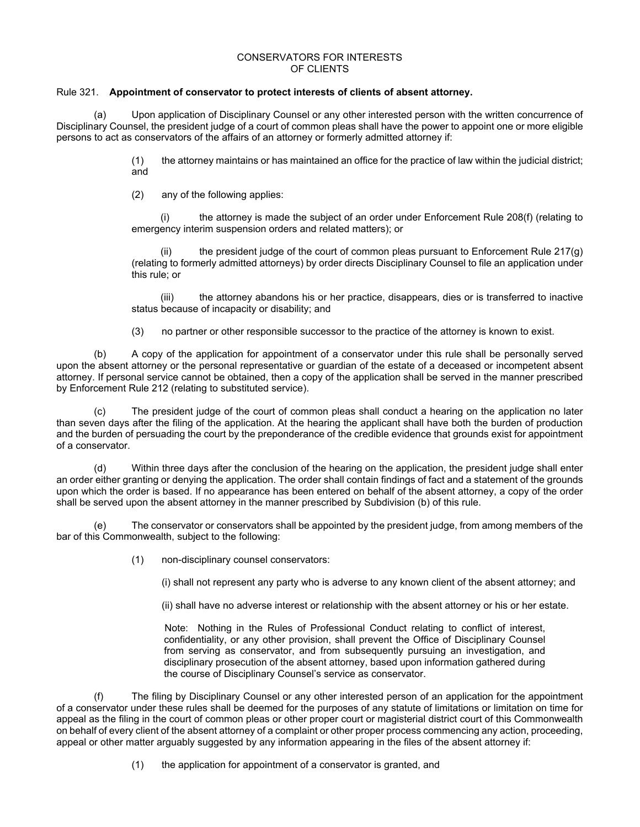### CONSERVATORS FOR INTERESTS OF CLIENTS

# Rule 321. **Appointment of conservator to protect interests of clients of absent attorney.**

(a) Upon application of Disciplinary Counsel or any other interested person with the written concurrence of Disciplinary Counsel, the president judge of a court of common pleas shall have the power to appoint one or more eligible persons to act as conservators of the affairs of an attorney or formerly admitted attorney if:

> (1) the attorney maintains or has maintained an office for the practice of law within the judicial district; and

(2) any of the following applies:

(i) the attorney is made the subject of an order under Enforcement Rule 208(f) (relating to emergency interim suspension orders and related matters); or

(ii) the president judge of the court of common pleas pursuant to Enforcement Rule  $217(g)$ (relating to formerly admitted attorneys) by order directs Disciplinary Counsel to file an application under this rule; or

(iii) the attorney abandons his or her practice, disappears, dies or is transferred to inactive status because of incapacity or disability; and

(3) no partner or other responsible successor to the practice of the attorney is known to exist.

(b) A copy of the application for appointment of a conservator under this rule shall be personally served upon the absent attorney or the personal representative or guardian of the estate of a deceased or incompetent absent attorney. If personal service cannot be obtained, then a copy of the application shall be served in the manner prescribed by Enforcement Rule 212 (relating to substituted service).

(c) The president judge of the court of common pleas shall conduct a hearing on the application no later than seven days after the filing of the application. At the hearing the applicant shall have both the burden of production and the burden of persuading the court by the preponderance of the credible evidence that grounds exist for appointment of a conservator.

(d) Within three days after the conclusion of the hearing on the application, the president judge shall enter an order either granting or denying the application. The order shall contain findings of fact and a statement of the grounds upon which the order is based. If no appearance has been entered on behalf of the absent attorney, a copy of the order shall be served upon the absent attorney in the manner prescribed by Subdivision (b) of this rule.

The conservator or conservators shall be appointed by the president judge, from among members of the bar of this Commonwealth, subject to the following:

(1) non-disciplinary counsel conservators:

(i) shall not represent any party who is adverse to any known client of the absent attorney; and

(ii) shall have no adverse interest or relationship with the absent attorney or his or her estate.

Note: Nothing in the Rules of Professional Conduct relating to conflict of interest, confidentiality, or any other provision, shall prevent the Office of Disciplinary Counsel from serving as conservator, and from subsequently pursuing an investigation, and disciplinary prosecution of the absent attorney, based upon information gathered during the course of Disciplinary Counsel's service as conservator.

 (f) The filing by Disciplinary Counsel or any other interested person of an application for the appointment of a conservator under these rules shall be deemed for the purposes of any statute of limitations or limitation on time for appeal as the filing in the court of common pleas or other proper court or magisterial district court of this Commonwealth on behalf of every client of the absent attorney of a complaint or other proper process commencing any action, proceeding, appeal or other matter arguably suggested by any information appearing in the files of the absent attorney if:

(1) the application for appointment of a conservator is granted, and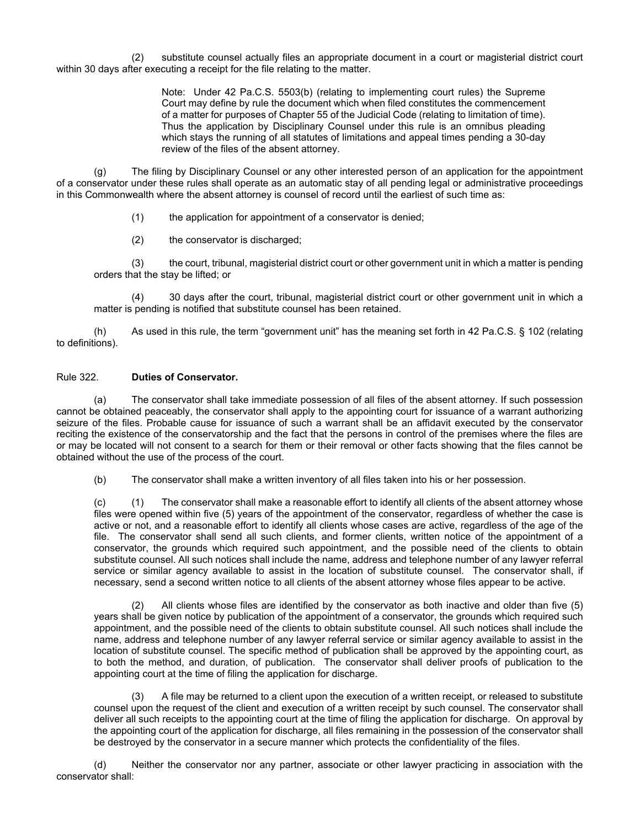(2) substitute counsel actually files an appropriate document in a court or magisterial district court within 30 days after executing a receipt for the file relating to the matter.

> Note: Under 42 Pa.C.S. 5503(b) (relating to implementing court rules) the Supreme Court may define by rule the document which when filed constitutes the commencement of a matter for purposes of Chapter 55 of the Judicial Code (relating to limitation of time). Thus the application by Disciplinary Counsel under this rule is an omnibus pleading which stays the running of all statutes of limitations and appeal times pending a 30-day review of the files of the absent attorney.

(g) The filing by Disciplinary Counsel or any other interested person of an application for the appointment of a conservator under these rules shall operate as an automatic stay of all pending legal or administrative proceedings in this Commonwealth where the absent attorney is counsel of record until the earliest of such time as:

(1) the application for appointment of a conservator is denied;

(2) the conservator is discharged;

(3) the court, tribunal, magisterial district court or other government unit in which a matter is pending orders that the stay be lifted; or

(4) 30 days after the court, tribunal, magisterial district court or other government unit in which a matter is pending is notified that substitute counsel has been retained.

(h) As used in this rule, the term "government unit" has the meaning set forth in 42 Pa.C.S. § 102 (relating to definitions).

### Rule 322. **Duties of Conservator.**

 (a) The conservator shall take immediate possession of all files of the absent attorney. If such possession cannot be obtained peaceably, the conservator shall apply to the appointing court for issuance of a warrant authorizing seizure of the files. Probable cause for issuance of such a warrant shall be an affidavit executed by the conservator reciting the existence of the conservatorship and the fact that the persons in control of the premises where the files are or may be located will not consent to a search for them or their removal or other facts showing that the files cannot be obtained without the use of the process of the court.

(b) The conservator shall make a written inventory of all files taken into his or her possession.

(c) (1) The conservator shall make a reasonable effort to identify all clients of the absent attorney whose files were opened within five (5) years of the appointment of the conservator, regardless of whether the case is active or not, and a reasonable effort to identify all clients whose cases are active, regardless of the age of the file. The conservator shall send all such clients, and former clients, written notice of the appointment of a conservator, the grounds which required such appointment, and the possible need of the clients to obtain substitute counsel. All such notices shall include the name, address and telephone number of any lawyer referral service or similar agency available to assist in the location of substitute counsel. The conservator shall, if necessary, send a second written notice to all clients of the absent attorney whose files appear to be active.

 (2) All clients whose files are identified by the conservator as both inactive and older than five (5) years shall be given notice by publication of the appointment of a conservator, the grounds which required such appointment, and the possible need of the clients to obtain substitute counsel. All such notices shall include the name, address and telephone number of any lawyer referral service or similar agency available to assist in the location of substitute counsel. The specific method of publication shall be approved by the appointing court, as to both the method, and duration, of publication. The conservator shall deliver proofs of publication to the appointing court at the time of filing the application for discharge.

 (3) A file may be returned to a client upon the execution of a written receipt, or released to substitute counsel upon the request of the client and execution of a written receipt by such counsel. The conservator shall deliver all such receipts to the appointing court at the time of filing the application for discharge. On approval by the appointing court of the application for discharge, all files remaining in the possession of the conservator shall be destroyed by the conservator in a secure manner which protects the confidentiality of the files.

 (d) Neither the conservator nor any partner, associate or other lawyer practicing in association with the conservator shall: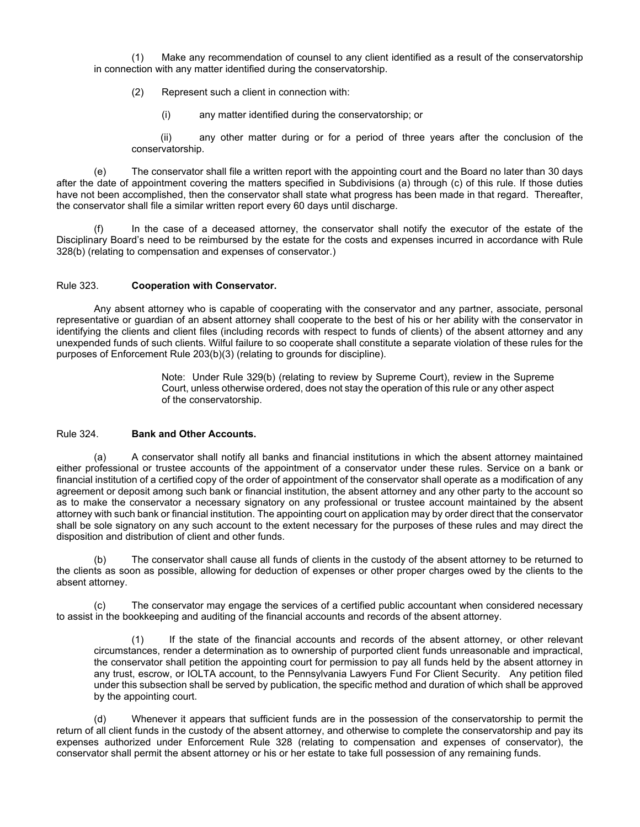(1) Make any recommendation of counsel to any client identified as a result of the conservatorship in connection with any matter identified during the conservatorship.

(2) Represent such a client in connection with:

(i) any matter identified during the conservatorship; or

(ii) any other matter during or for a period of three years after the conclusion of the conservatorship.

 (e) The conservator shall file a written report with the appointing court and the Board no later than 30 days after the date of appointment covering the matters specified in Subdivisions (a) through (c) of this rule. If those duties have not been accomplished, then the conservator shall state what progress has been made in that regard. Thereafter, the conservator shall file a similar written report every 60 days until discharge.

 (f) In the case of a deceased attorney, the conservator shall notify the executor of the estate of the Disciplinary Board's need to be reimbursed by the estate for the costs and expenses incurred in accordance with Rule 328(b) (relating to compensation and expenses of conservator.)

### Rule 323. **Cooperation with Conservator.**

 Any absent attorney who is capable of cooperating with the conservator and any partner, associate, personal representative or guardian of an absent attorney shall cooperate to the best of his or her ability with the conservator in identifying the clients and client files (including records with respect to funds of clients) of the absent attorney and any unexpended funds of such clients. Wilful failure to so cooperate shall constitute a separate violation of these rules for the purposes of Enforcement Rule 203(b)(3) (relating to grounds for discipline).

> Note: Under Rule 329(b) (relating to review by Supreme Court), review in the Supreme Court, unless otherwise ordered, does not stay the operation of this rule or any other aspect of the conservatorship.

### Rule 324. **Bank and Other Accounts.**

 (a) A conservator shall notify all banks and financial institutions in which the absent attorney maintained either professional or trustee accounts of the appointment of a conservator under these rules. Service on a bank or financial institution of a certified copy of the order of appointment of the conservator shall operate as a modification of any agreement or deposit among such bank or financial institution, the absent attorney and any other party to the account so as to make the conservator a necessary signatory on any professional or trustee account maintained by the absent attorney with such bank or financial institution. The appointing court on application may by order direct that the conservator shall be sole signatory on any such account to the extent necessary for the purposes of these rules and may direct the disposition and distribution of client and other funds.

 (b) The conservator shall cause all funds of clients in the custody of the absent attorney to be returned to the clients as soon as possible, allowing for deduction of expenses or other proper charges owed by the clients to the absent attorney.

 (c) The conservator may engage the services of a certified public accountant when considered necessary to assist in the bookkeeping and auditing of the financial accounts and records of the absent attorney.

(1) If the state of the financial accounts and records of the absent attorney, or other relevant circumstances, render a determination as to ownership of purported client funds unreasonable and impractical, the conservator shall petition the appointing court for permission to pay all funds held by the absent attorney in any trust, escrow, or IOLTA account, to the Pennsylvania Lawyers Fund For Client Security. Any petition filed under this subsection shall be served by publication, the specific method and duration of which shall be approved by the appointing court.

 (d) Whenever it appears that sufficient funds are in the possession of the conservatorship to permit the return of all client funds in the custody of the absent attorney, and otherwise to complete the conservatorship and pay its expenses authorized under Enforcement Rule 328 (relating to compensation and expenses of conservator), the conservator shall permit the absent attorney or his or her estate to take full possession of any remaining funds.